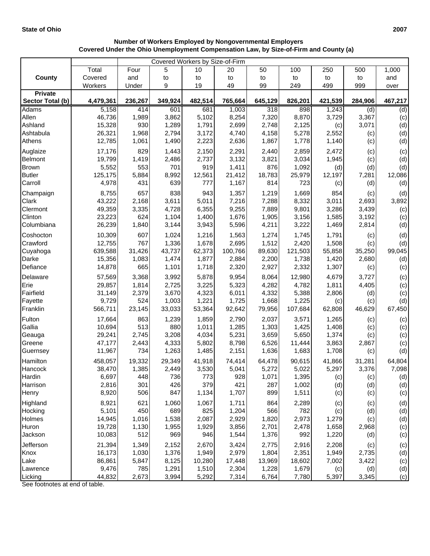|                   | Covered Workers by Size-of-Firm |              |              |                 |                 |                 |                |                 |                 |         |
|-------------------|---------------------------------|--------------|--------------|-----------------|-----------------|-----------------|----------------|-----------------|-----------------|---------|
|                   | Total                           | Four         | 5            | 10              | 20              | 50              | 100            | 250             | 500             | 1,000   |
| <b>County</b>     | Covered                         | and          | to           | to              | to              | to              | to             | to              | to              | and     |
|                   | Workers                         | Under        | 9            | 19              | 49              | 99              | 249            | 499             | 999             | over    |
| <b>Private</b>    |                                 |              |              |                 |                 |                 |                |                 |                 |         |
| Sector Total (b)  | 4,479,361                       | 236,267      | 349,924      | 482,514         | 765,664         | 645,129         | 826,201        | 421,539         | 284,906         | 467,217 |
| <b>Adams</b>      | 5,158                           | 414          | 601          | 681             | 1,003           | 318             | 898            | 1,243           | (d)             | (d)     |
| Allen             | 46,736                          | 1,989        | 3,862        | 5,102           | 8,254           | 7,320           | 8,870          | 3,729           | 3,367           | (c)     |
| Ashland           | 15,328                          | 930          | 1,289        | 1,791           | 2,699           | 2,748           | 2,125          | (c)             | 3,071           | (d)     |
| Ashtabula         | 26,321                          | 1,968        | 2,794        | 3,172           | 4,740           | 4,158           | 5,278          | 2,552           | (c)             | (d)     |
| Athens            | 12,785                          | 1,061        | 1,490        | 2,223           | 2,636           | 1,867           | 1,778          | 1,140           | (c)             | (d)     |
| Auglaize          | 17,176                          | 829          | 1,443        | 2,150           | 2,291           | 2,440           | 2,859          | 2,472           | (c)             | (c)     |
| Belmont           | 19,799                          | 1,419        | 2,486        | 2,737           | 3,132           | 3,821           | 3,034          | 1,945           | (c)             | (d)     |
| <b>Brown</b>      | 5,552                           | 553          | 701          | 919             | 1,411           | 876             | 1,092          | (d)             | (d)             | (d)     |
| <b>Butler</b>     | 125,175                         | 5,884        | 8,992        | 12,561          | 21,412          | 18,783          | 25,979         | 12,197          | 7,281           | 12,086  |
| Carroll           | 4,978                           | 431          | 639          | 777             | 1,167           | 814             | 723            | (c)             | (d)             | (d)     |
| Champaign         | 8,755                           | 657          | 838          | 943             | 1,357           | 1,219           | 1,669          | 854             | (c)             | (d)     |
| Clark             | 43,222                          | 2,168        | 3,611        | 5,011           | 7,216           | 7,288           | 8,332          | 3,011           | 2,693           | 3,892   |
| Clermont          | 49,359                          | 3,335        | 4,728        | 6,355           | 9,255           | 7,889           | 9,801          | 3,286           | 3,439           | (c)     |
| Clinton           | 23,223                          | 624          | 1,104        | 1,400           | 1,676           | 1,905           | 3,156          | 1,585           | 3,192           | (c)     |
| Columbiana        | 26,239                          | 1,840        | 3,144        | 3,943           | 5,596           | 4,211           | 3,222          | 1,469           | 2,814           | (d)     |
| Coshocton         | 10,309                          | 607          | 1,024        | 1,216           | 1,563           | 1,274           | 1,745          | 1,791           | (c)             | (d)     |
| Crawford          | 12,755                          | 767          | 1,336        | 1,678           | 2,695           | 1,512           | 2,420          | 1,508           | (c)             | (d)     |
| Cuyahoga          | 639,588                         | 31,426       | 43,737       | 62,373          | 100,766         | 89,630          | 121,503        | 55,858          | 35,250          | 99,045  |
| Darke             | 15,356                          | 1,083        | 1,474        | 1,877           | 2,884           | 2,200           | 1,738          | 1,420           | 2,680           | (d)     |
| Defiance          | 14,878                          | 665          | 1,101        | 1,718           | 2,320           | 2,927           | 2,332          | 1,307           | (c)             | (c)     |
| Delaware          | 57,569                          | 3,368        | 3,992        | 5,878           | 9,954           | 8,064           | 12,980         | 4,679           | 3,727           | (c)     |
| Erie              | 29,857                          | 1,814        | 2,725        | 3,225           | 5,323           | 4,282           | 4,782          | 1,811           | 4,405           | (c)     |
| Fairfield         | 31,149                          | 2,379        | 3,670        | 4,323           | 6,011           | 4,332           | 5,388          | 2,806           | (d)             | (c)     |
| Fayette           | 9,729                           | 524          | 1,003        | 1,221           | 1,725           | 1,668           | 1,225          | (c)             | (c)             | (d)     |
| Franklin          | 566,711                         | 23,145       | 33,033       | 53,364          | 92,642          | 79,956          | 107,684        | 62,808          | 46,629          | 67,450  |
| Fulton            | 17,664                          | 863          | 1,239        | 1,859           | 2,790           | 2,037           | 3,571          | 1,265           | (c)             | (c)     |
| Gallia            | 10,694                          | 513          | 880          | 1,011           | 1,285           | 1,303           | 1,425          | 1,408           | (c)             | (c)     |
| Geauga            | 29,241                          | 2,745        | 3,208        | 4,034           | 5,231           | 3,659           | 5,650          | 1,374           | (c)             | (c)     |
| Greene            | 47,177                          | 2,443        | 4,333        | 5,802           | 8,798           | 6,526           | 11,444         | 3,863           | 2,867           | (c)     |
| Guernsey          | 11,967                          | 734          | 1,263        | 1,485           | 2,151           | 1,636           | 1,683          | 1,708           | (c)             | (d)     |
|                   |                                 |              |              |                 |                 |                 |                |                 |                 |         |
| Hamilton          | 458,057<br>38,470               | 19,332       | 29,349       | 41,918<br>3,530 | 74,414<br>5,041 | 64,478<br>5,272 | 90,615         | 41,866<br>5,297 | 31,281<br>3,376 | 64,804  |
| Hancock<br>Hardin |                                 | 1,385<br>448 | 2,449<br>736 |                 |                 |                 | 5,022          |                 |                 | 7,098   |
| Harrison          | 6,697<br>2,816                  | 301          | 426          | 773<br>379      | 928<br>421      | 1,071<br>287    | 1,395<br>1,002 | (c)             | (c)             | (d)     |
| Henry             | 8,920                           | 506          | 847          | 1,134           | 1,707           | 899             | 1,511          | (d)             | (d)             | (d)     |
|                   |                                 |              |              |                 |                 |                 |                | (c)             | (c)             | (c)     |
| Highland          | 8,921                           | 621          | 1,060        | 1,067           | 1,711           | 864             | 2,289          | (c)             | (c)             | (d)     |
| Hocking           | 5,101                           | 450          | 689          | 825             | 1,204           | 566             | 782            | (c)             | (d)             | (d)     |
| Holmes            | 14,945                          | 1,016        | 1,538        | 2,087           | 2,929           | 1,820           | 2,973          | 1,279           | (c)             | (d)     |
| Huron             | 19,728                          | 1,130        | 1,955        | 1,929           | 3,856           | 2,701           | 2,478          | 1,658           | 2,968           | (c)     |
| Jackson           | 10,083                          | 512          | 969          | 946             | 1,544           | 1,376           | 992            | 1,220           | (d)             | (c)     |
| Jefferson         | 21,394                          | 1,349        | 2,152        | 2,670           | 3,424           | 2,775           | 2,916          | 2,208           | (c)             | (c)     |
| Knox              | 16,173                          | 1,030        | 1,376        | 1,949           | 2,979           | 1,804           | 2,351          | 1,949           | 2,735           | (d)     |
| Lake              | 86,861                          | 5,847        | 8,125        | 10,280          | 17,448          | 13,969          | 18,602         | 7,002           | 3,422           | (c)     |
| Lawrence          | 9,476                           | 785          | 1,291        | 1,510           | 2,304           | 1,228           | 1,679          | (c)             | (d)             | (d)     |
| Licking           | 44,832                          | 2,673        | 3,994        | 5,292           | 7,314           | 6,764           | 7,780          | 5,397           | 3,345           | (c)     |

## **Number of Workers Employed by Nongovernmental Employers Covered Under the Ohio Unemployment Compensation Law, by Size-of-Firm and County (a)**

See footnotes at end of table.